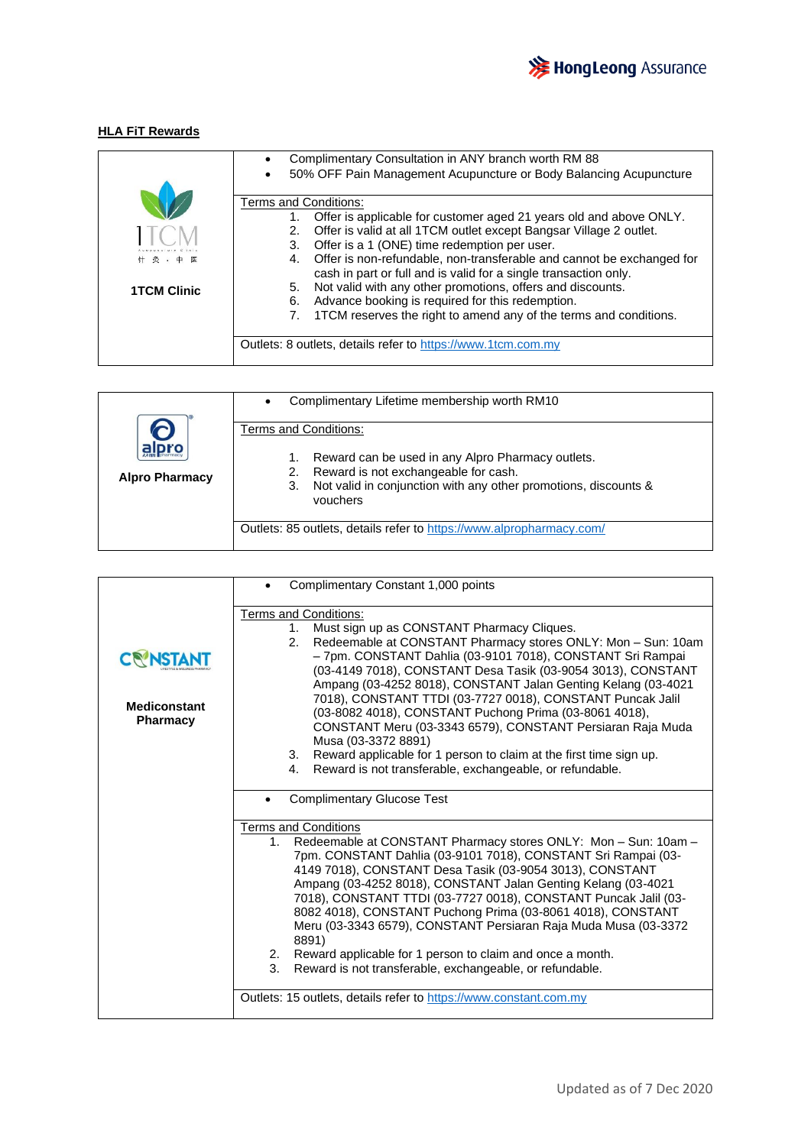

## **HLA FiT Rewards**

|                    | Complimentary Consultation in ANY branch worth RM 88                                                                                            |
|--------------------|-------------------------------------------------------------------------------------------------------------------------------------------------|
|                    | 50% OFF Pain Management Acupuncture or Body Balancing Acupuncture                                                                               |
|                    | Terms and Conditions:<br>Offer is applicable for customer aged 21 years old and above ONLY.                                                     |
|                    | Offer is valid at all 1TCM outlet except Bangsar Village 2 outlet.<br>2.<br>Offer is a 1 (ONE) time redemption per user.<br>3.                  |
| 针灸 · 中医            | Offer is non-refundable, non-transferable and cannot be exchanged for<br>4.<br>cash in part or full and is valid for a single transaction only. |
| <b>1TCM Clinic</b> | Not valid with any other promotions, offers and discounts.<br>5.<br>Advance booking is required for this redemption.<br>6.                      |
|                    | 1TCM reserves the right to amend any of the terms and conditions.                                                                               |
|                    | Outlets: 8 outlets, details refer to https://www.1tcm.com.my                                                                                    |

|                       | Complimentary Lifetime membership worth RM10<br>$\bullet$                         |
|-----------------------|-----------------------------------------------------------------------------------|
|                       | Terms and Conditions:                                                             |
|                       | Reward can be used in any Alpro Pharmacy outlets.                                 |
| <b>Alpro Pharmacy</b> | Reward is not exchangeable for cash.<br>2.                                        |
|                       | Not valid in conjunction with any other promotions, discounts &<br>3.<br>vouchers |
|                       | Outlets: 85 outlets, details refer to https://www.alpropharmacy.com/              |

|                                        | Complimentary Constant 1,000 points                                                                                                                                                                                                                                                                                                                                                                                                                                                                                                                                                                                                                    |
|----------------------------------------|--------------------------------------------------------------------------------------------------------------------------------------------------------------------------------------------------------------------------------------------------------------------------------------------------------------------------------------------------------------------------------------------------------------------------------------------------------------------------------------------------------------------------------------------------------------------------------------------------------------------------------------------------------|
|                                        | Terms and Conditions:<br>Must sign up as CONSTANT Pharmacy Cliques.<br>$1_{-}$<br>Redeemable at CONSTANT Pharmacy stores ONLY: Mon - Sun: 10am<br>2.                                                                                                                                                                                                                                                                                                                                                                                                                                                                                                   |
|                                        | - 7pm. CONSTANT Dahlia (03-9101 7018), CONSTANT Sri Rampai<br>(03-4149 7018), CONSTANT Desa Tasik (03-9054 3013), CONSTANT                                                                                                                                                                                                                                                                                                                                                                                                                                                                                                                             |
| <b>Mediconstant</b><br><b>Pharmacy</b> | Ampang (03-4252 8018), CONSTANT Jalan Genting Kelang (03-4021<br>7018), CONSTANT TTDI (03-7727 0018), CONSTANT Puncak Jalil<br>(03-8082 4018), CONSTANT Puchong Prima (03-8061 4018),<br>CONSTANT Meru (03-3343 6579), CONSTANT Persiaran Raja Muda<br>Musa (03-3372 8891)                                                                                                                                                                                                                                                                                                                                                                             |
|                                        | Reward applicable for 1 person to claim at the first time sign up.<br>3.<br>Reward is not transferable, exchangeable, or refundable.<br>4.                                                                                                                                                                                                                                                                                                                                                                                                                                                                                                             |
|                                        | <b>Complimentary Glucose Test</b>                                                                                                                                                                                                                                                                                                                                                                                                                                                                                                                                                                                                                      |
|                                        | <b>Terms and Conditions</b><br>Redeemable at CONSTANT Pharmacy stores ONLY: Mon - Sun: 10am -<br>$1_{-}$<br>7pm. CONSTANT Dahlia (03-9101 7018), CONSTANT Sri Rampai (03-<br>4149 7018), CONSTANT Desa Tasik (03-9054 3013), CONSTANT<br>Ampang (03-4252 8018), CONSTANT Jalan Genting Kelang (03-4021<br>7018), CONSTANT TTDI (03-7727 0018), CONSTANT Puncak Jalil (03-<br>8082 4018), CONSTANT Puchong Prima (03-8061 4018), CONSTANT<br>Meru (03-3343 6579), CONSTANT Persiaran Raja Muda Musa (03-3372<br>8891)<br>2. Reward applicable for 1 person to claim and once a month.<br>3.<br>Reward is not transferable, exchangeable, or refundable. |
|                                        | Outlets: 15 outlets, details refer to https://www.constant.com.my                                                                                                                                                                                                                                                                                                                                                                                                                                                                                                                                                                                      |